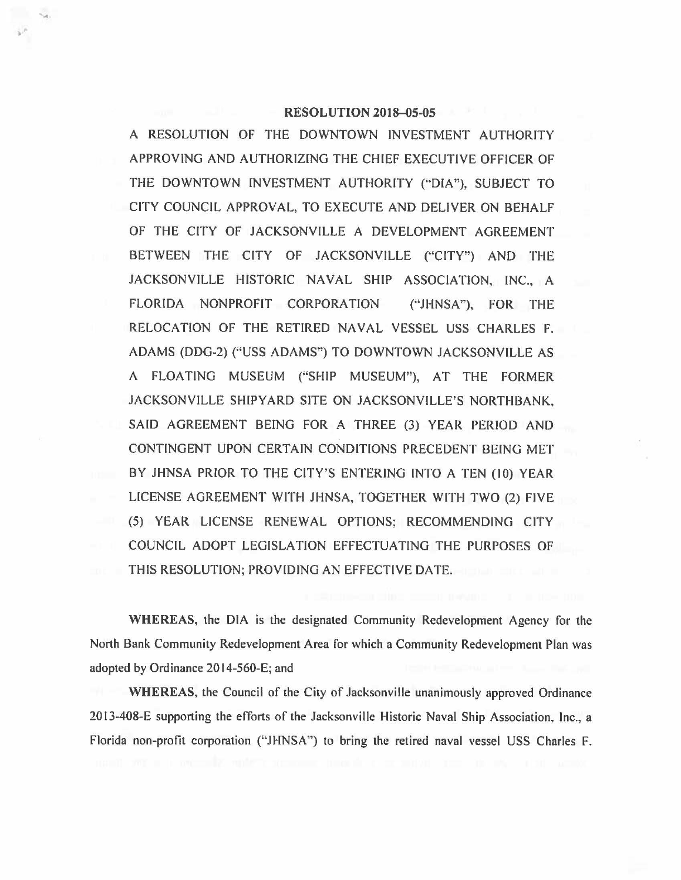## **RESOLUTION 2018-05-05**

A RESOLUTION OF THE DOWNTOWN INVESTMENT AUTHORITY APPROVING AND AUTHORIZING THE CHIEF EXECUTIVE OFFICER OF THE DOWNTOWN INVESTMENT AUTHORITY ("DIA"), SUBJECT TO CITY COUNCIL APPROVAL, TO EXECUTE AND DELIVER ON BEHALF OF THE CITY OF JACKSONVILLE A DEVELOPMENT AGREEMENT BETWEEN THE CITY OF JACKSONVILLE ("CITY") AND THE JACKSONVILLE HISTORIC NA VAL SHIP ASSOCIATION, INC., A FLORIDA NONPROFIT CORPORATION ("JHNSA"), FOR THE RELOCATION OF THE RETIRED NAVAL VESSEL USS CHARLES F. ADAMS (DDG-2) ("USS ADAMS") TO DOWNTOWN JACKSONVILLE AS A FLOATING MUSEUM ("SHIP MUSEUM"), AT THE FORMER JACKSONVILLE SHIPYARD SITE ON JACKSONVILLE'S NORTHBANK, SAID AGREEMENT BEING FOR A THREE (3) YEAR PERIOD AND CONTINGENT UPON CERTAIN CONDITIONS PRECEDENT BEING MET BY JHNSA PRIOR TO THE CITY'S ENTERING INTO A TEN (10) YEAR LICENSE AGREEMENT WITH JHNSA, TOGETHER WITH TWO (2) FIVE (5) YEAR LICENSE RENEWAL OPTIONS; RECOMMENDING CITY COUNCIL ADOPT LEGISLATION EFFECTUATING THE PURPOSES OF THIS RESOLUTION; PROVIDING AN EFFECTIVE DATE.

**WHEREAS,** the DIA is the designated Community Redevelopment Agency for the North Bank Community Redevelopment Area for which a Community Redevelopment Plan was adopted by Ordinance 2014-560-E; and

**WHEREAS,** the Council of the City of Jacksonville unanimously approved Ordinance 2013-408-E supporting the efforts of the Jacksonville Historic Naval Ship Association, Inc., a Florida non-profit corporation ("JHNSA") to bring the retired naval vessel USS Charles F.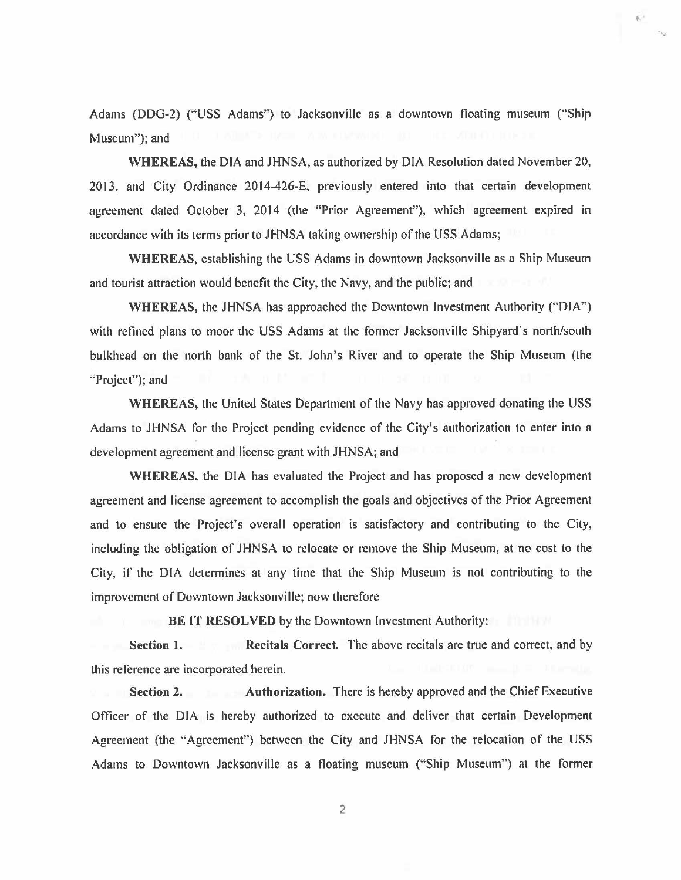Adams (DDG-2) ("'USS Adams") to Jacksonville as a downtown floating museum ("Ship Museum"); and

**WHEREAS,** the DIA and JHNSA, as authorized by DIA Resolution dated November 20, 2013, and City Ordinance 2014-426-E, previously entered into that certain development agreement dated October 3, 2014 (the "Prior Agreement"), which agreement expired in accordance with its terms prior to JHNSA taking ownership of the USS Adams;

**WHEREAS,** establishing the USS Adams in downtown Jacksonville as a Ship Museum and tourist attraction would benefit the City, the Navy, and the public; and

**WHEREAS,** the JHNSA has approached the Downtown Investment Authority ("DIA") with refined plans to moor the USS Adams at the former Jacksonville Shipyard's north/south bulkhead on the north bank of the St. John's River and to operate the Ship Museum (the ··Project"); and

**WHEREAS,** the United States Department of the Navy has approved donating the USS Adams to JHNSA for the Project pending evidence of the City's authorization to enter into a development agreement and license grant with JHNSA; and

**WHEREAS,** the DIA has evaluated the Project and has proposed a new development agreement and license agreement to accomplish the goals and objectives of the Prior Agreement and to ensure the Project's overall operation is satisfactory and contributing to the City, including the obligation of JHNSA to relocate or remove the Ship Museum, at no cost to the City, if the DIA determines at any time that the Ship Museum is not contributing to the improvement of Downtown Jacksonville; now therefore

**BE IT RESOLVED** by the Downtown Investment Authority:

**Section 1.** Recitals Correct. The above recitals are true and correct, and by this reference are incorporated herein.

**Section 2. Authorization.** There is hereby approved and the Chief Executive Officer of the DIA is hereby authorized to execute and deliver that certain Development Agreement (the "Agreement") between the City and JHNSA for the relocation of the USS Adams to Downtown Jacksonville as a floating museum ("Ship Museum'") at the former

2